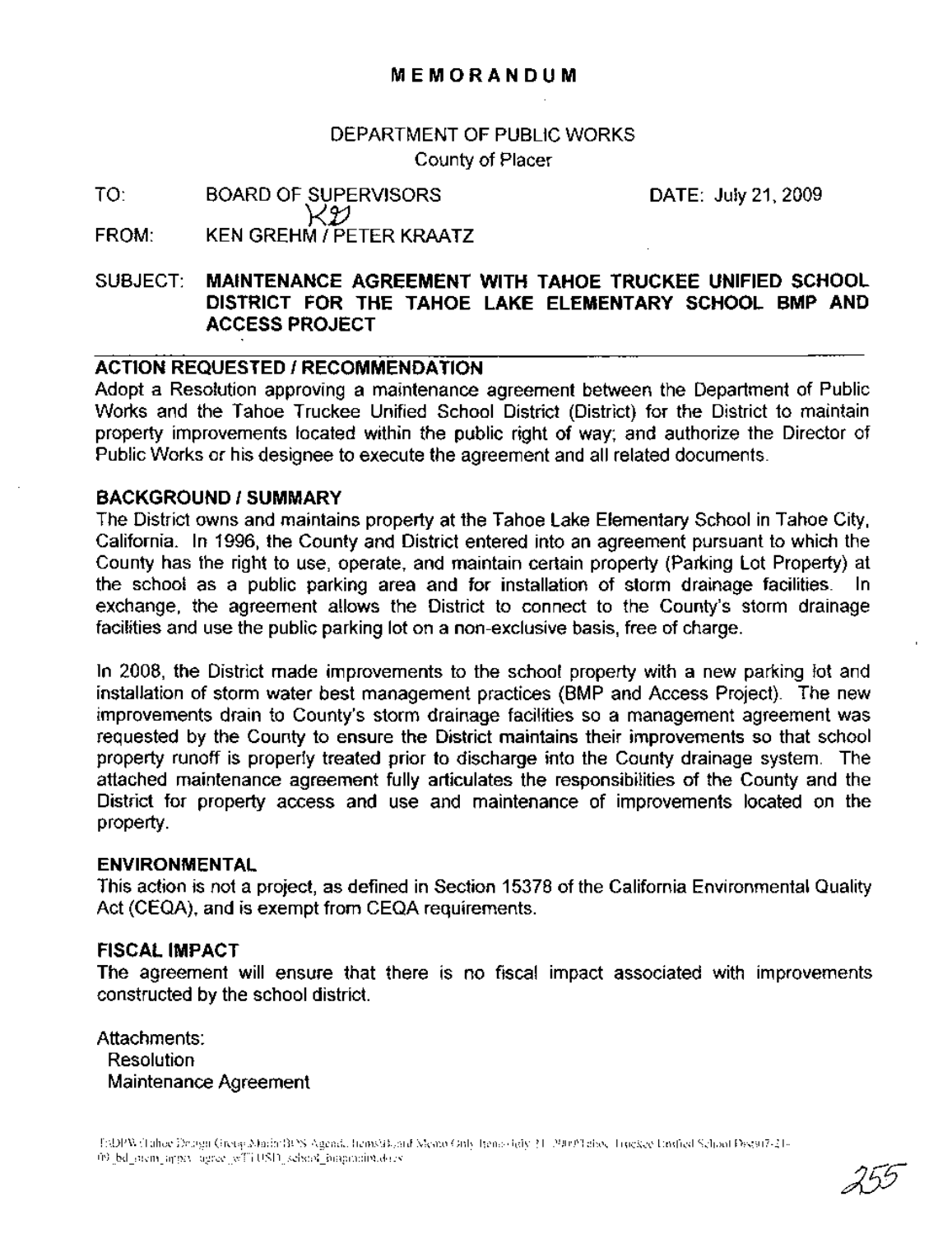## DEPARTMENT OF PUBLIC WORKS County of Placer

TO: FROM: BOARD OF SUPERVISORS KY. KEN GREHM *I* PETER KRAATZ DATE: July 21,2009

## SUBJECT: **MAINTENANCE AGREEMENT WITH TAHOE TRUCKEE UNIFIED SCHOOL DISTRICT FOR THE TAHOE LAKE ELEMENTARY SCHOOL BMP AND ACCESS PROJECT**

#### **ACTION REQUESTED / RECOMMENDATION**

Adopt a Resolution approving a maintenance agreement between the Department of Public Works and the Tahoe Truckee Unified School District (District) for the District to maintain property improvements located within the public right of way; and authorize the Director of Public Works or his designee to execute the agreement and all related documents.

#### **BACKGROUND/SUMMARY**

The District owns and maintains property at the Tahoe Lake Elementary School in Tahoe City, California. In 1996, the County and District entered into an agreement pursuant to which the County has the right to use, operate, and maintain certain property (Parking Lot Property) at the school as a public parking area and for installation of storm drainage facilities. In exchange, the agreement allows the District to connect to the County's storm drainage facilities and use the public parking lot on a non-exclusive basis, free of charge.

In 2008, the District made improvements to the school property with a new parking lot and installation of storm water best management practices (BMP and Access Project). The new improvements drain to County's storm drainage facilities so a management agreement was requested by the County to ensure the District maintains their improvements so that school property runoff is properly treated prior to discharge into the County drainage system. The attached maintenance agreement fully articulates the responsibilities of the County and the District for property access and use and maintenance of improvements located on the property.

#### **ENVIRONMENTAL**

This action is not a project, as defined in Section 15378 of the California Environmental Quality Act (CEQA), and is exempt from CEQA requirements.

#### **FISCAL IMPACT**

The agreement will ensure that there is no fiscal impact associated with improvements constructed by the school district.

Attachments: **Resolution** Maintenance Agreement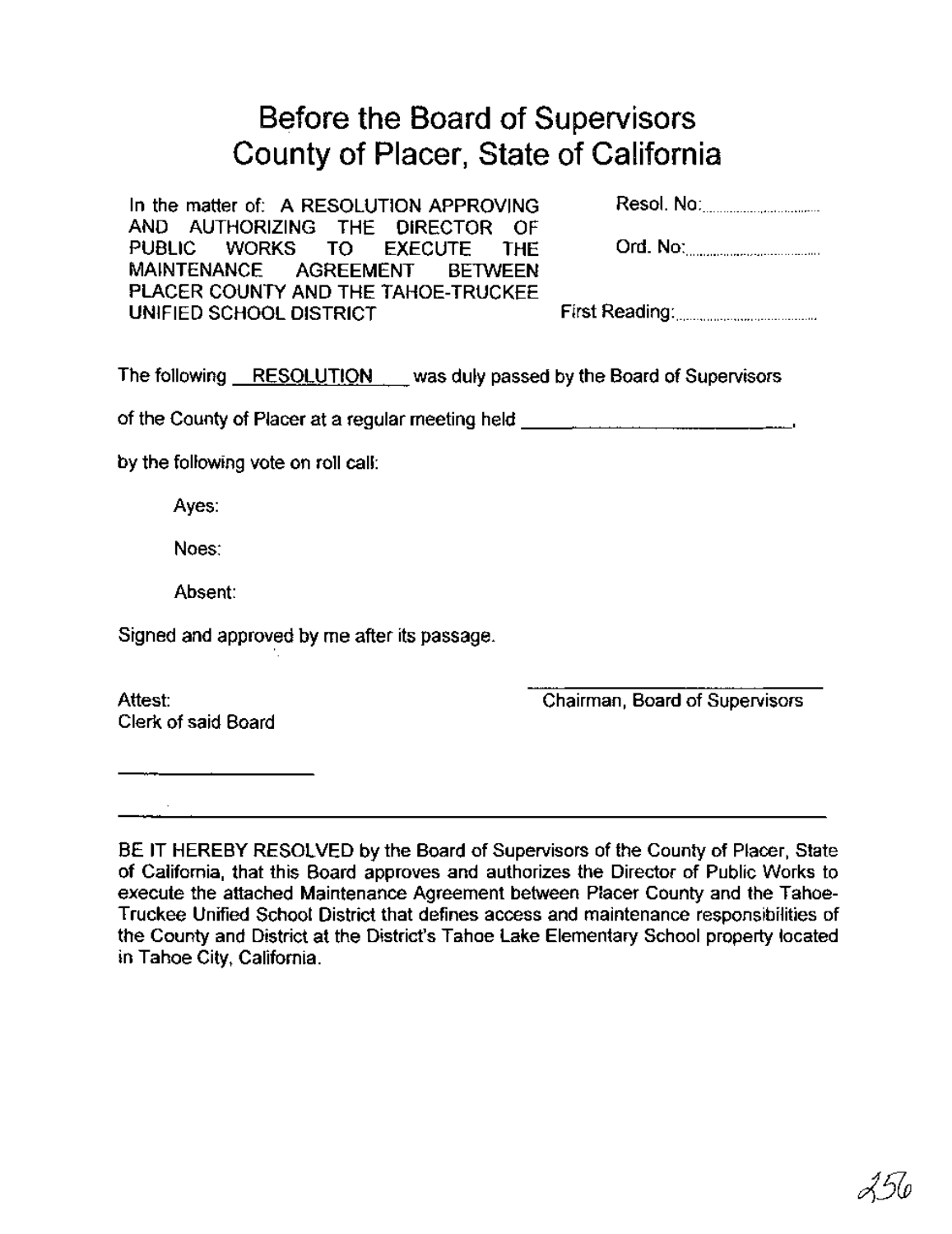# Before the Board of Supervisors County of Placer, State of California

| In the matter of: A RESOLUTION APPROVING | Resol. No: 2008. 2009. 2009. 2010. 2010. 2011. 2012. 2012. 2012. 2013. 2014. 2015. 2016. 2017. 2017. 2017. 20 |
|------------------------------------------|---------------------------------------------------------------------------------------------------------------|
| AND AUTHORIZING THE DIRECTOR OF          |                                                                                                               |
| PUBLIC WORKS TO EXECUTE THE              | Ord. No: <u></u>                                                                                              |
| MAINTENANCE AGREEMENT BETWEEN            |                                                                                                               |
| PLACER COUNTY AND THE TAHOE-TRUCKEE      |                                                                                                               |
| UNIFIED SCHOOL DISTRICT                  |                                                                                                               |
|                                          |                                                                                                               |

The following RESOLUTION was duly passed by the Board of Supervisors

of the County of Placer at a regular meeting held \_

by the following vote on roll call:

Ayes:

Noes:

Absent:

Signed and approved by me after its passage.

Attest: Clerk of said Board Chairman, Board of Supervisors

BE IT HEREBY RESOLVED by the Board of Supervisors of the County of Placer, State of California, that this Board approves and authorizes the Director of Public Works to execute the attached Maintenance Agreement between Placer County and the Tahoe-Truckee Unified School District that defines access and maintenance responsibilities of the County and District at the District's Tahoe Lake Elementary School property located in Tahoe City, California.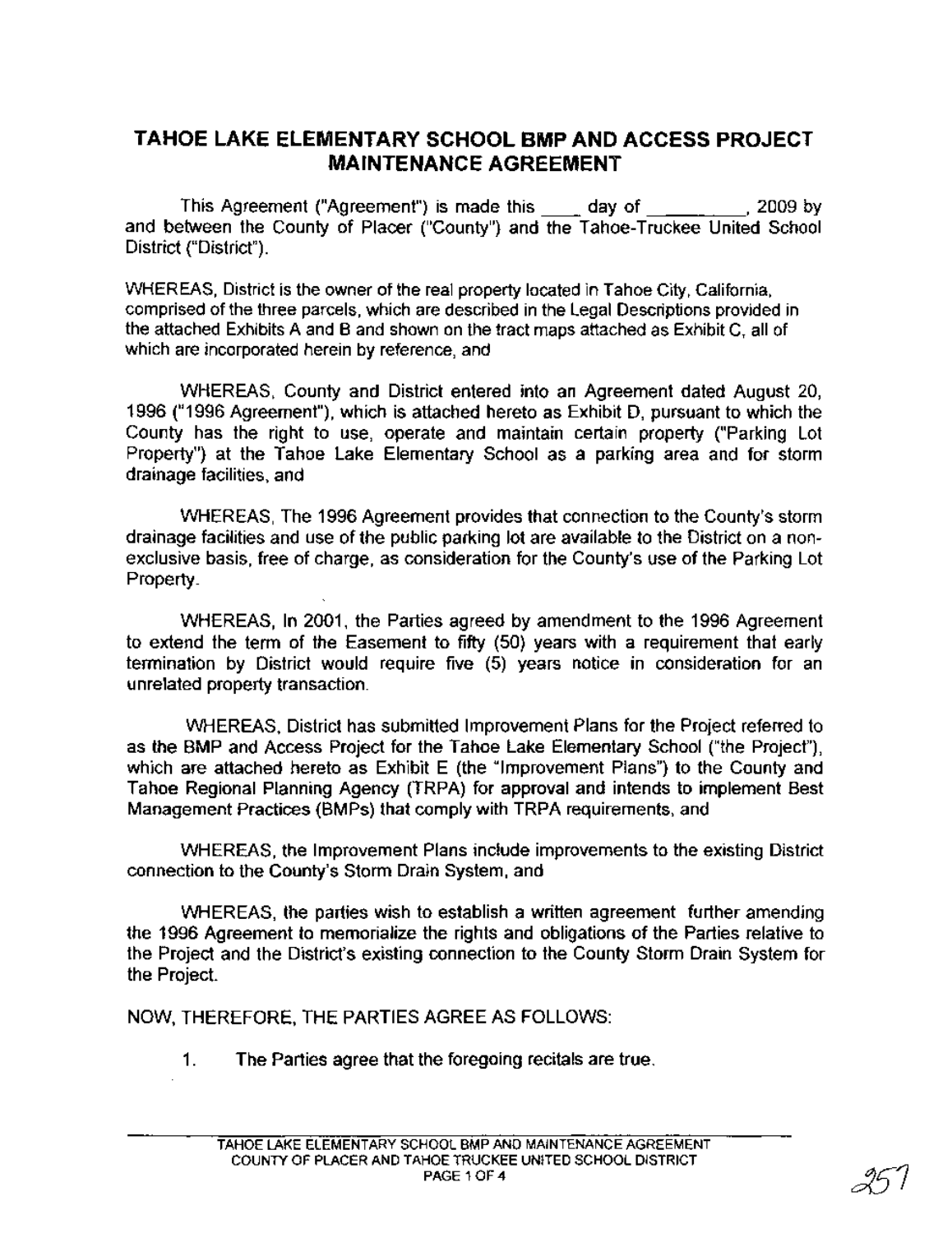## **TAHOE LAKE ELEMENTARY SCHOOL BMP AND ACCESS PROJECT MAINTENANCE AGREEMENT**

This Agreement ("Agreement") is made this \_\_ day of ,2009 by and between the County of Placer ("County") and the Tahoe-Truckee United School District ("District").

WHEREAS, District is the owner of the real property located in Tahoe City, California, comprised of the three parcels, which are described in the Legal Descriptions provided in the attached Exhibits A and B and shown on the tract maps attached as Exhibit C, all of which are incorporated herein by reference, and

WHEREAS, County and District entered into an Agreement dated August 20, 1996 ("1996 Agreement"), which is attached hereto as Exhibit D, pursuant to which the County has the right to use, operate and maintain certain property ("Parking Lot Property") at the Tahoe Lake Elementary School as a parking area and for storm drainage facilities, and

WHEREAS, The 1996 Agreement provides that connection to the County's storm drainage facilities and use of the public parking lot are available to the District on a nonexclusive basis, free of charge, as consideration for the County's use of the Parking Lot Property.

WHEREAS, In 2001, the Parties agreed by amendment to the 1996 Agreement to extend the term of the Easement to fifty (50) years with a requirement that early termination by District would require five (5) years notice in consideration for an unrelated property transaction.

WHEREAS, District has submitted Improvement Plans for the Project referred to as the BMP and Access Project for the Tahoe Lake Elementary School ("the Project"), which are attached hereto as Exhibit E (the "Improvement Plans") to the County and Tahoe Regional Planning Agency (TRPA) for approval and intends to implement Best Management Practices (BMPs) that comply with TRPA requirements, and

WHEREAS, the Improvement Plans include improvements to the existing District connection to the County's Storm Drain System, and

WHEREAS, the parties wish to establish a written agreement further amending the 1996 Agreement to memorialize the rights and obligations of the Parties relative to the Project and the District's existing connection to the County Storm Drain System for the Project.

NOW, THEREFORE, THE PARTIES AGREE AS FOLLOWS:

1. The Parties agree that the foregoing recitals are true.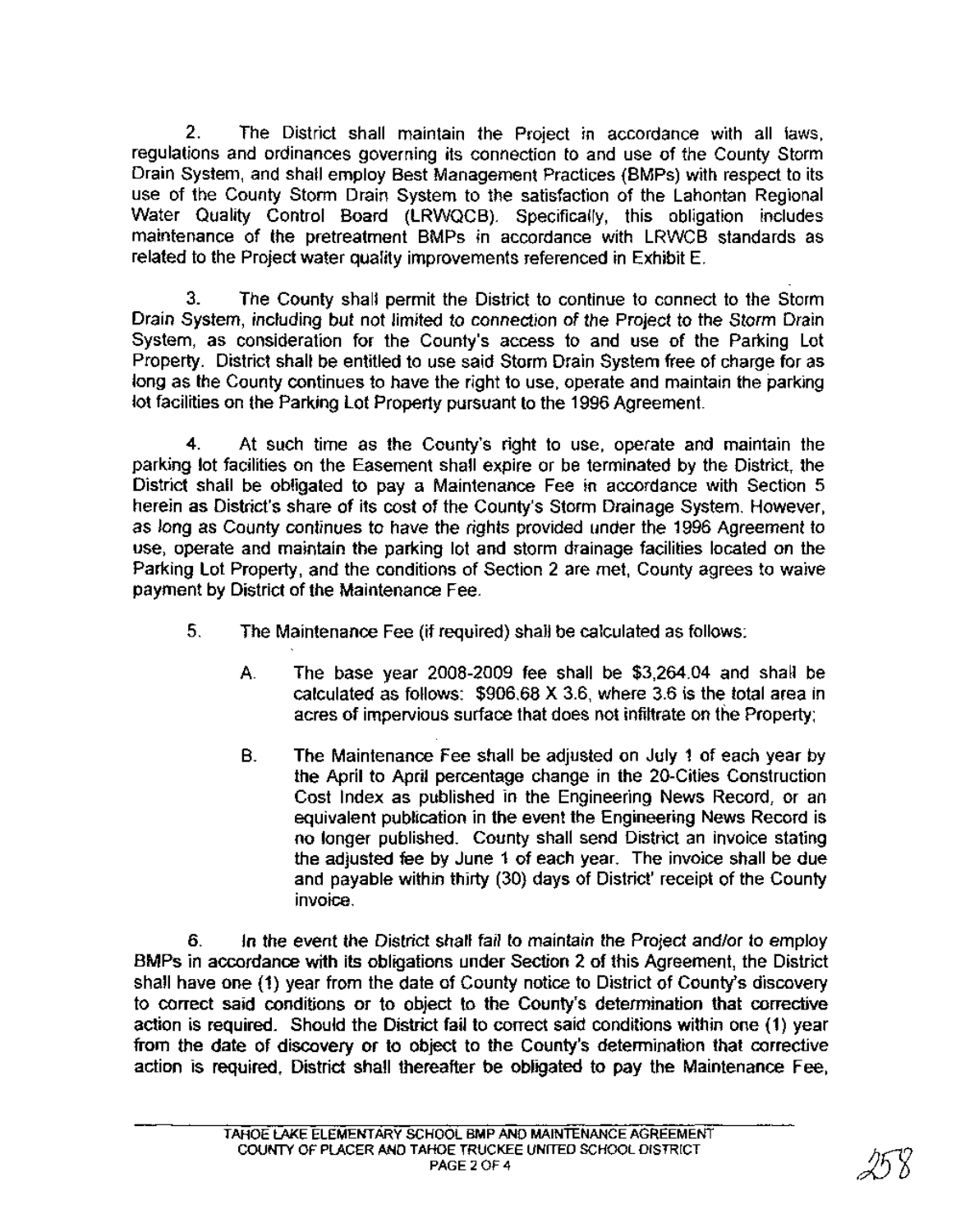2. The District shall maintain the Project in accordance with all laws, regulations and ordinances governing its connection to and use of the County Storm Drain System, and shall employ Best Management Practices (BMPs) with respect to its use of the County Storm Drain System to the satisfaction of the Lahontan Regional Water Quality Control Board (LRWQCB). Specifically, this obligation includes maintenance of the pretreatment BMPs in accordance with LRWCB standards as related to the Project water quality improvements referenced in Exhibit E.

3. The County shall permit the District to continue to connect to the Storm Drain System, including but not limited to connection of the Project to the Storm Drain System, as consideration for the County's access to and use of the Parking Lot Property. District shall be entitled to use said Storm Drain System free of charge for as long as the County continues to have the right to use, operate and maintain the parking lot facilities on the Parking Lot Property pursuant to the 1996 Agreement.

4. At such time as the County's right to use, operate and maintain the parking lot facilities on the Easement shall expire or be terminated by the District, the District shall be obligated to pay a Maintenance Fee in accordance with Section 5 herein as District's share of its cost of the County's Storm Drainage System. However, as long as County continues to have the rights provided under the 1996 Agreement to use, operate and maintain the parking lot and storm drainage facilities located on the Parking Lot Property, and the conditions of Section 2 are met, County agrees to waive payment by District of the Maintenance Fee.

- 5. The Maintenance Fee (if required) shall be calculated as follows:
	- A. The base year 2008-2009 fee shall be \$3,264.04 and shall be calculated as follows: \$906.68 X 3.6, where 3.6 is the total area in acres of impervious surface that does not infiltrate on the Property;
	- B. The Maintenance Fee shall be adjusted on July 1 of each year by the April to April percentage change in the 20-Cities Construction Cost Index as published in the Engineering News Record, or an equivalent publication in the event the Engineering News Record is no longer published. County shall send District an invoice stating the adjusted fee by June 1 of each year. The invoice shall be due and payable within thirty (30) days of District' receipt of the County invoice.

6. In the event the District shall fail to maintain the Project and/or to employ BMPs in accordance with its obligations under Section 2 of this Agreement, the District shall have one (1) year from the date of County notice to District of County's discovery to correct said conditions or to object to the County's determination that corrective action is reqUired. Should the District fail to correct said conditions within one (1) year from the date of discovery or to object to the County's determination that corrective action is required. District shall thereafter be obligated to pay the Maintenance Fee,

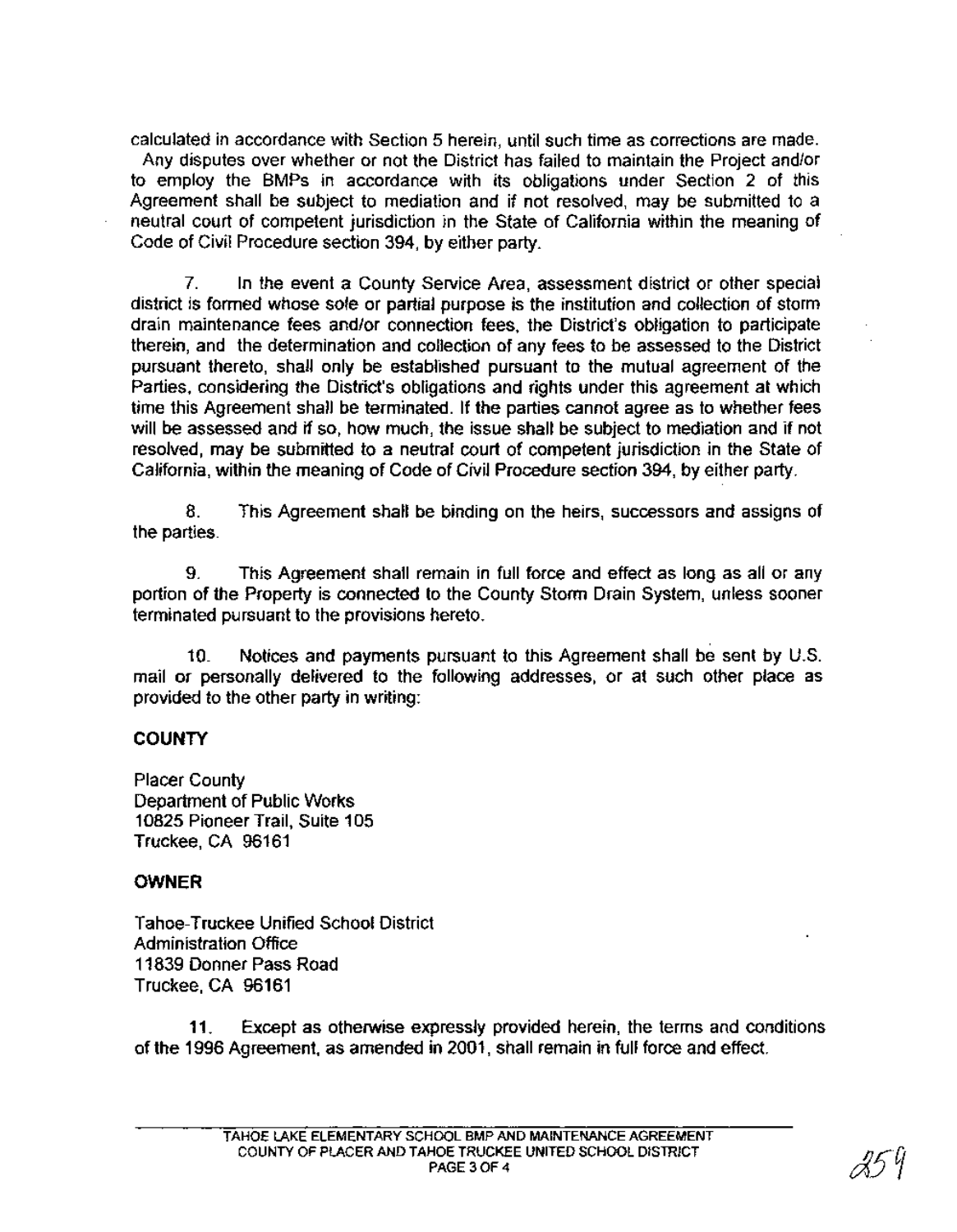calculated in accordance with Section 5 herein, until such time as corrections are made.

Any disputes over whether or not the District has failed to maintain the Project and/or to employ the BMPs in accordance with its obligations under Section 2 of this Agreement shall be subject to mediation and if not resolved, may be submitted to a neutral court of competent jurisdiction in the State of California within the meaning of Code of Civil Procedure section 394, by either party.

7. In the event a County Service Area, assessment district or other special district is formed whose sole or partial purpose is the institution and collection of storm drain maintenance fees and/or connection fees, the District's obligation to participate therein, and the determination and collection of any fees to be assessed to the District pursuant thereto, shall only be established pursuant to the mutual agreement of the Parties, considering the District's obligations and rights under this agreement at which time this Agreement shall be terminated. If the parties cannot agree as to whether fees will be assessed and if so, how much, the issue shall be subject to mediation and if not resolved, may be submitted to a neutral court of competent jurisdiction in the State of California, within the meaning of Code of Civil Procedure section 394, by either party.

8. This Agreement shall be binding on the heirs, successors and assigns of the parties.

9. This Agreement shall remain in full force and effect as long as all or any portion of the Property is connected to the County Storm Drain System, unless sooner terminated pursuant to the provisions hereto.

10. Notices and payments pursuant to this Agreement shall be sent by U.S. mail or personally delivered to the following addresses, or at such other place as provided to the other party in writing:

## **COUNTY**

Placer County Department of Public Works 10825 Pioneer Trail, Suite 105 Truckee, CA 96161

## **OWNER**

Tahoe-Truckee Unified School District Administration Office 11839 Donner Pass Road Truckee, CA 96161

11. Except as otherwise expressly provided herein, the terms and conditions of the 1996 Agreement, as amended in 2001, shall remain in full force and effect.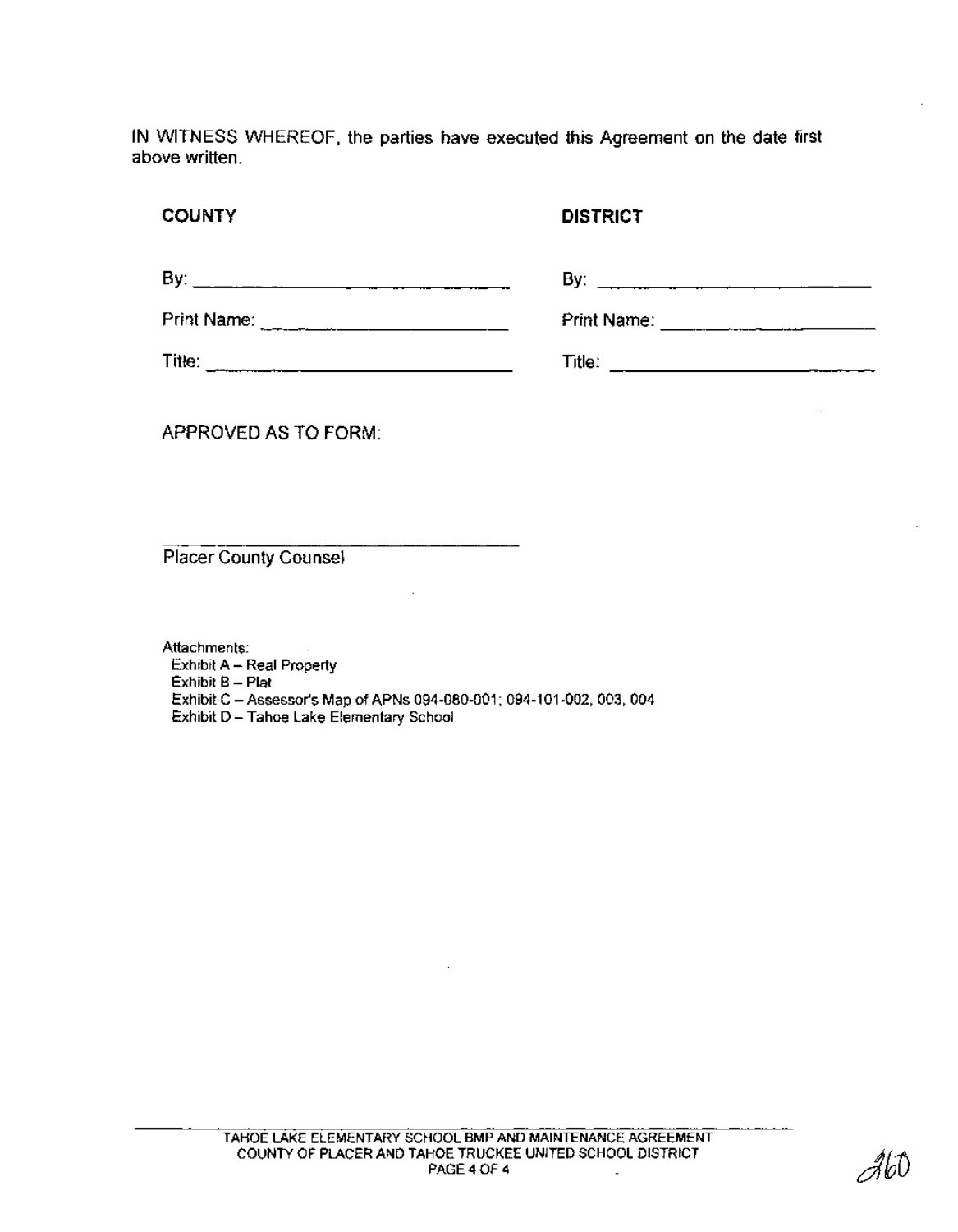IN WITNESS WHEREOF, the parties have executed this Agreement on the date first above written.

#### **COUNTY**

#### **DISTRICT**

| Bν:         | Bv:                |
|-------------|--------------------|
| Print Name: | <b>Print Name:</b> |
| Title:      | Title:<br>____     |

APPROVED AS TO FORM:

Placer County Counsel

Attachments: Exhibit A - Real Property Exhibit B - Plat Exhibit C - Assessor's Map of APNs 094-080-001; 094-101-002, 003, 004 Exhibit D - Tahoe Lake Elementary School

2160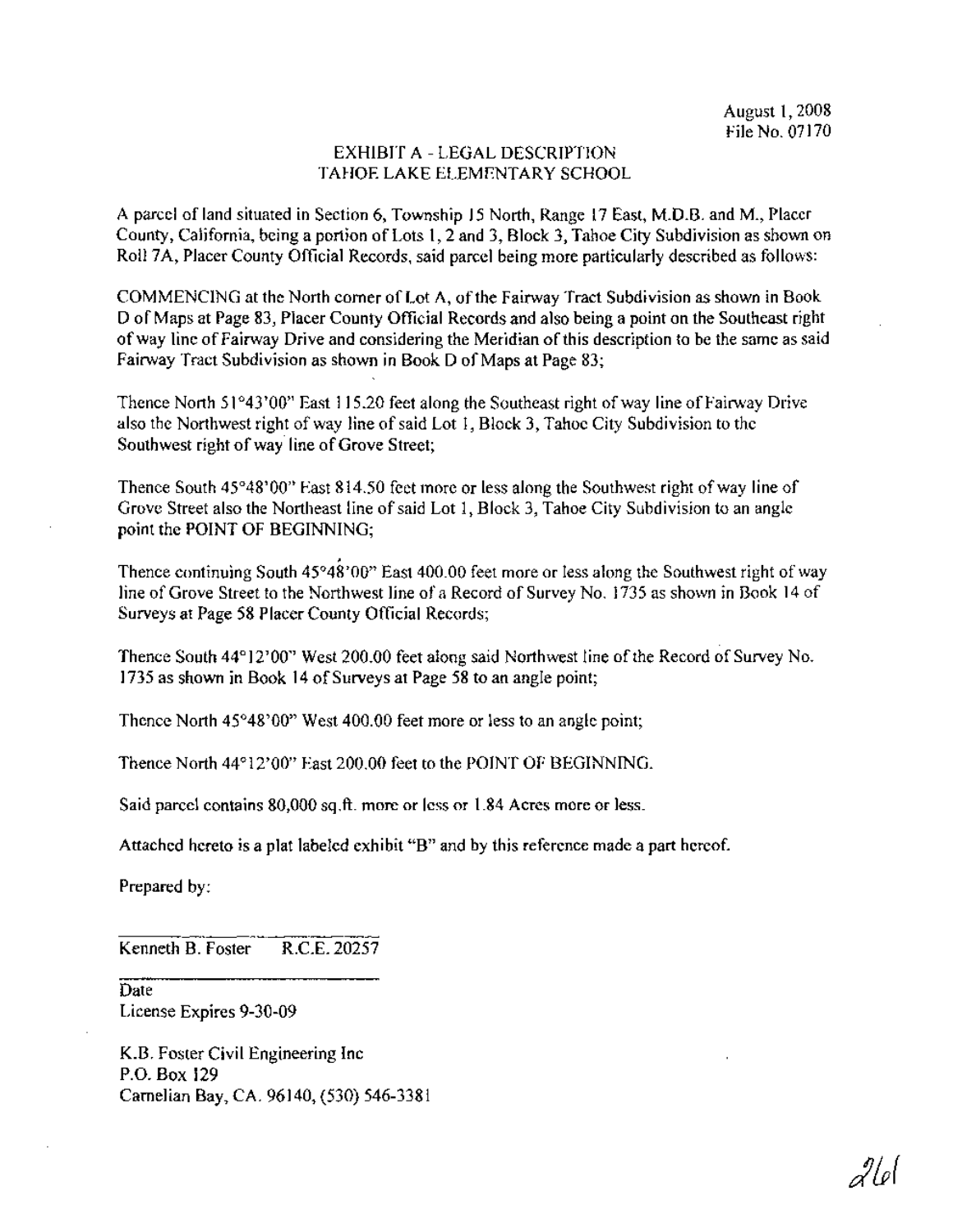#### EXHIBIT A - LEGAL DESCRIPTION TAHOE LAKE ELEMENTARY SCHOOL

A parcel ofland situated in Section 6, Township 15 North, Range 17 East, M.D.B. and M., Placer County, California, being a portion of Lots 1, 2 and 3, Block 3, Tahoe City Subdivision as shown on Roll 7A, Placer County Official Records, said parcel being more particularly described as follows:

COMMENCING at the North corner of Lot A, of the Fairway Tract Subdivision as shown in Book D of Maps at Page 83, Placer County Official Records and also being a point on the Southeast right ofway line ofFairway Drive and considering the Meridian ofthis description to be the same as said Fairway Tract Subdivision as shown in Book D of Maps at Page 83;

Thence North  $51^{\circ}43'00''$  East 115.20 feet along the Southeast right of way line of Fairway Drive also the Northwest right of way line of said Lot 1, Block 3, Tahoe City Subdivision to the Southwest right of way line of Grove Street;

Thence South  $45^{\circ}48'00''$  East  $814.50$  feet more or less along the Southwest right of way line of Grove Street also the Northeast line of said Lot 1, Block 3, Tahoe City Subdivision to an angle point the POINT OF BEGINNING;

Thence continuing South  $45^{\circ}48^{\circ}00$ " East  $400.00$  feet more or less along the Southwest right of way line of Grove Street to the Northwest line of a Record of Survey No. 1735 as shown in Book 14 of Surveys at Page 58 Placer County Official Records;

, Thence South 44°12'00" West 200.00 feet along said Northwest line ofthe Record of Survey No. 1735 as shown in Book 14 of Surveys at Page 58 to an angle point;

Thence North 45°48'00" West 400.00 feet more or less to an angle point;

Thence North 44°12'00" East 200.00 feet to the POINT OF BEGINNING.

Said parcel contains 80,000 sq.ft. more or less or 1.84 Acres more or less.

Attached hereto is a plat labeled exhibit "B" and by this reference made a part hereof.

Prepared by:

Kenneth B. Foster R.C.E. 20257

Date License Expires 9-30-09

K.B. Foster Civil Engineering Inc P.O. Box 129 Carnelian Bay, CA. 96140, (530) 546-3381

 $2\ell$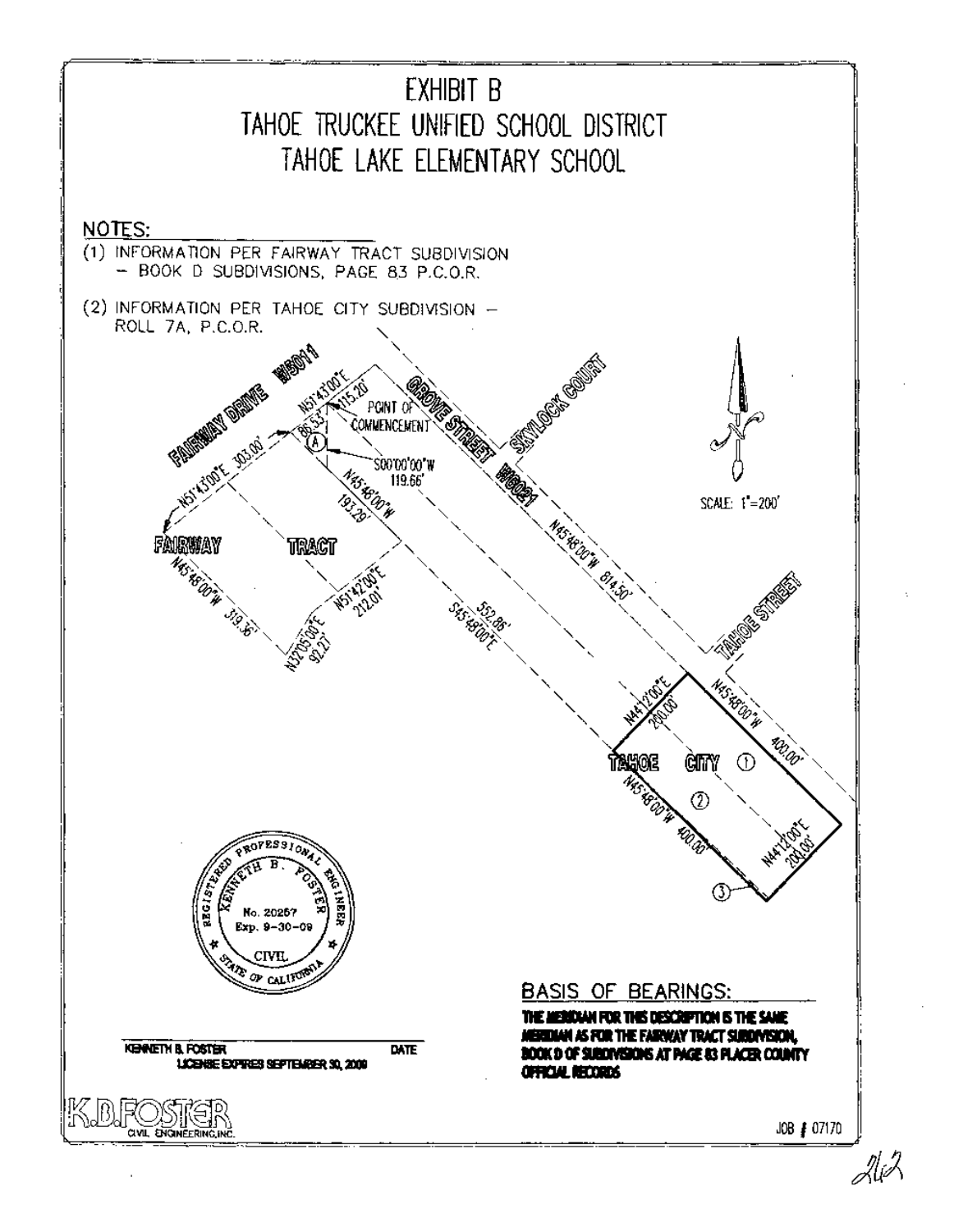

2li/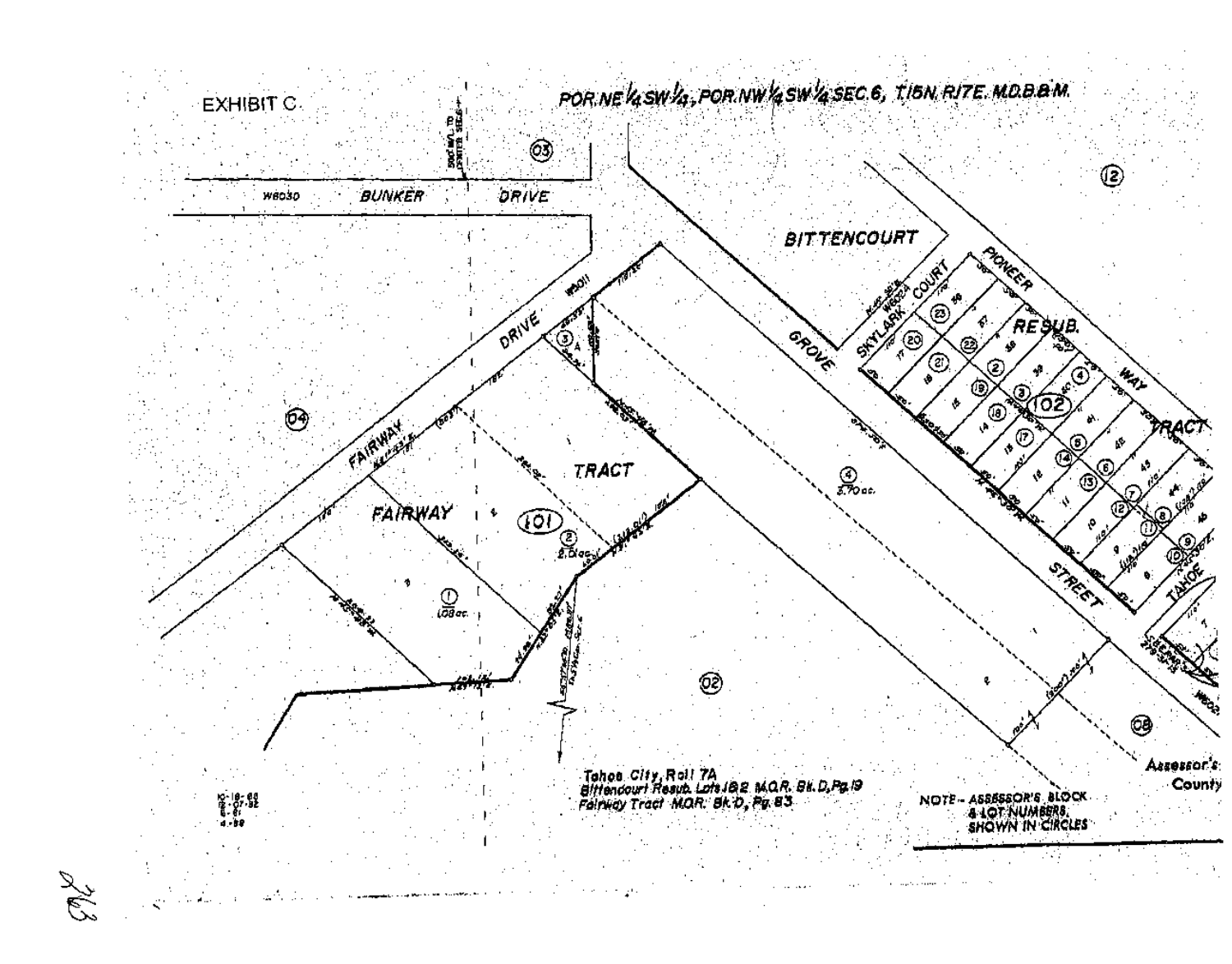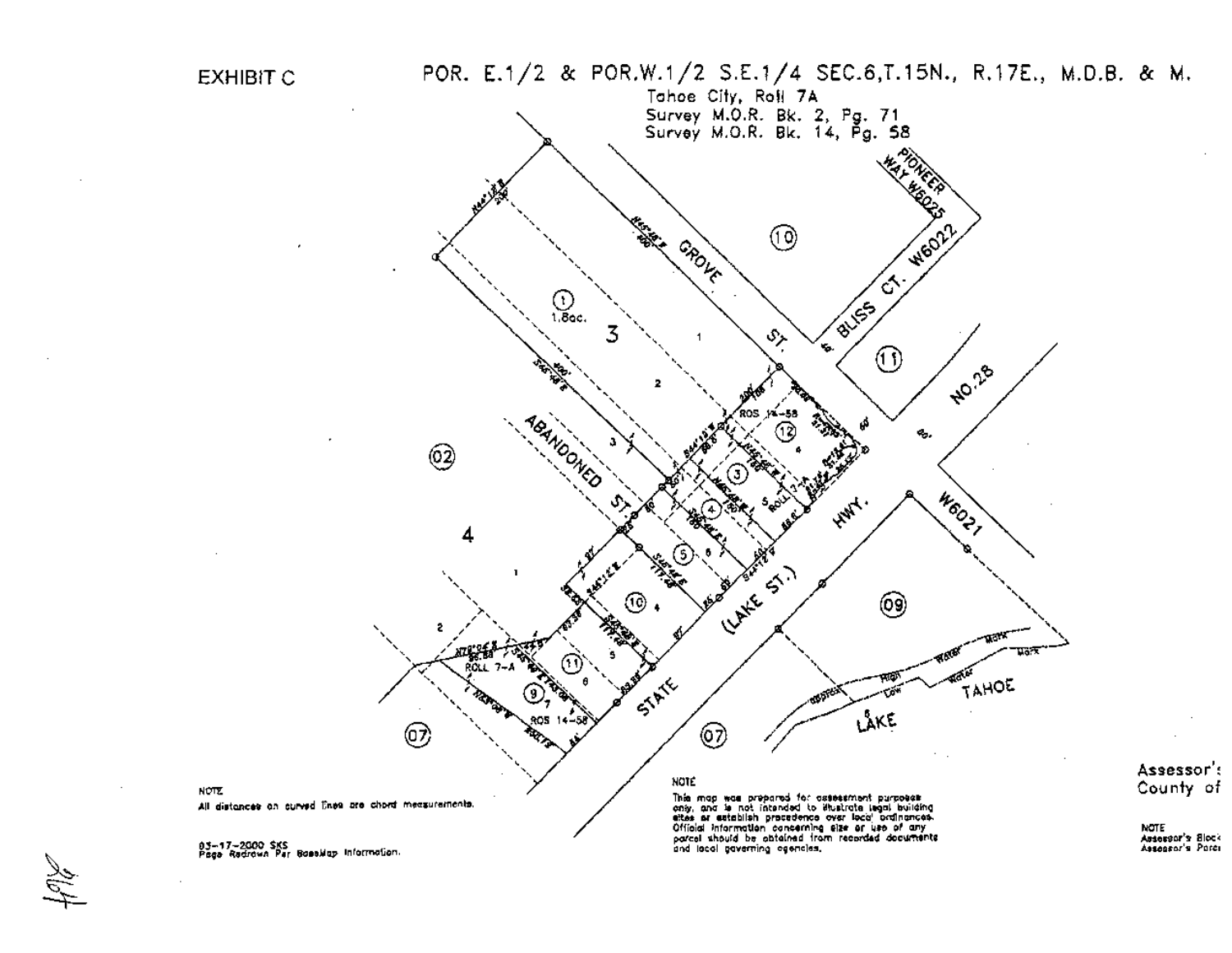

03–17–2000 SKS<br>Paga Radrown Par Goeskap Information.

Assessor's Block Assessor's Parci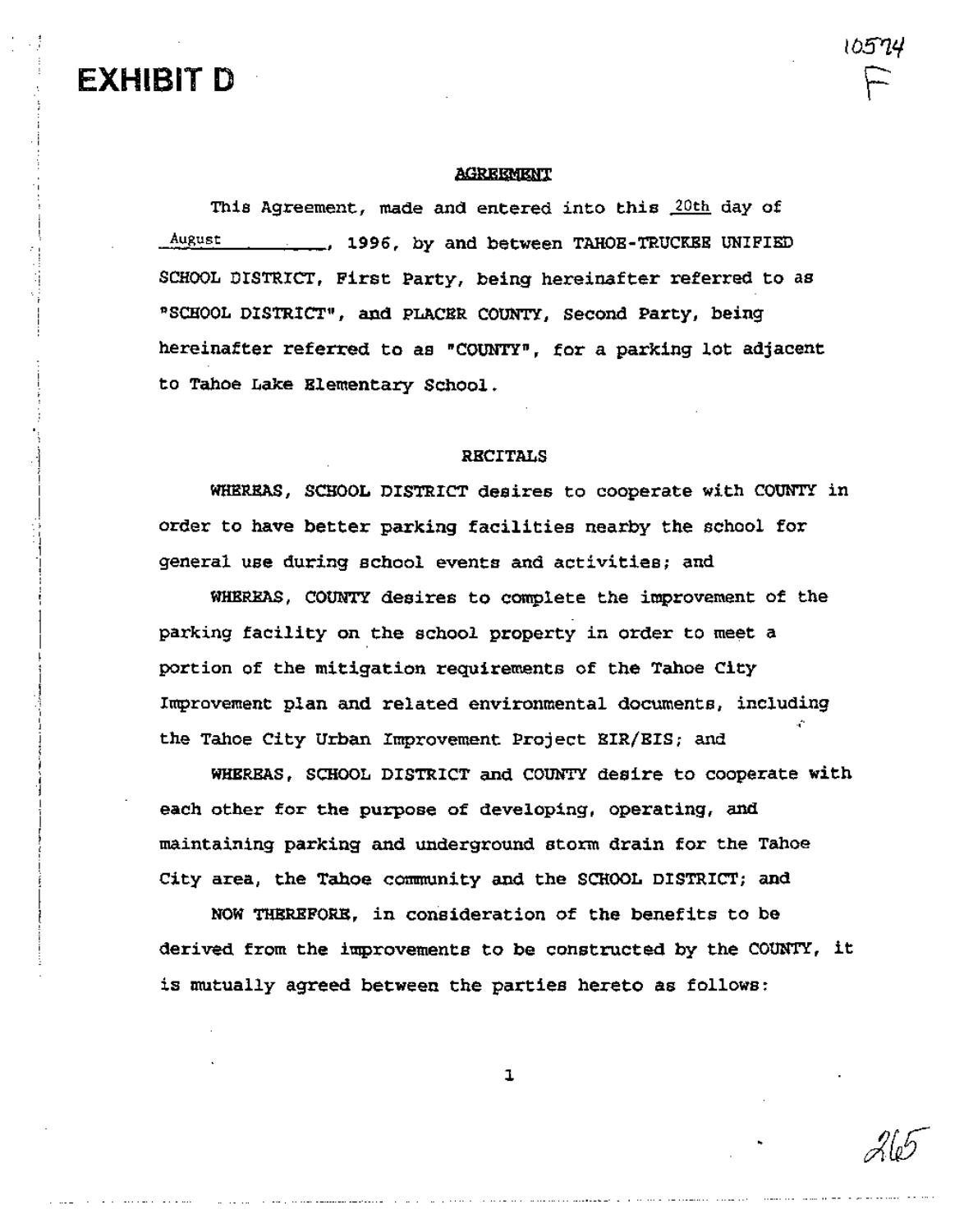# EXHIBIT D

l<br>İ 'I 1 *i* '.\

> i<br>|<br>| ,I

> > \ 'I

> > > I i

.1 :.j

#### AGREEMENT

This Agreement, made and entered into this 20th day of August 1996, by and between TAHOE-TRUCKEE UNIFIED SCHOOL DISTRICT, First Party, being hereinafter referred to as "SCHOOL DISTRICT", and PLACER COUNTY, Second Party, being hereinafter referred to as "COUNTY", for a parking lot adjacent to Tahoe Lake Elementary School.

#### RECITALS

WHEREAS, SCHOOL DISTRICT desires to cooperate with COUNTY in order to have better parking facilities nearby the school for general use during school events and activities; and

WHEREAS, COUNTY desires to complete the improvement of the parking facility on the school property in order to meet a portion of the mitigation requirements of the Tahoe City Improvement plan and related environmental documents, including the Tahoe City Urban Improvement Project BIR/EIS; and

WHEREAS, SCHOOL DISTRICT and COUNTY desire to cooperate with each other for the purpose of developing, operating, and maintaining parking and underground storm drain for the Tahoe City area, the Tahoe community and the SCHOOL DISTRICT; and

NOW THERBFORE, in consideration of the benefits to be derived from the improvements to be constructed by the COUNTY, it is mutually agreed between the parties hereto as follows:

1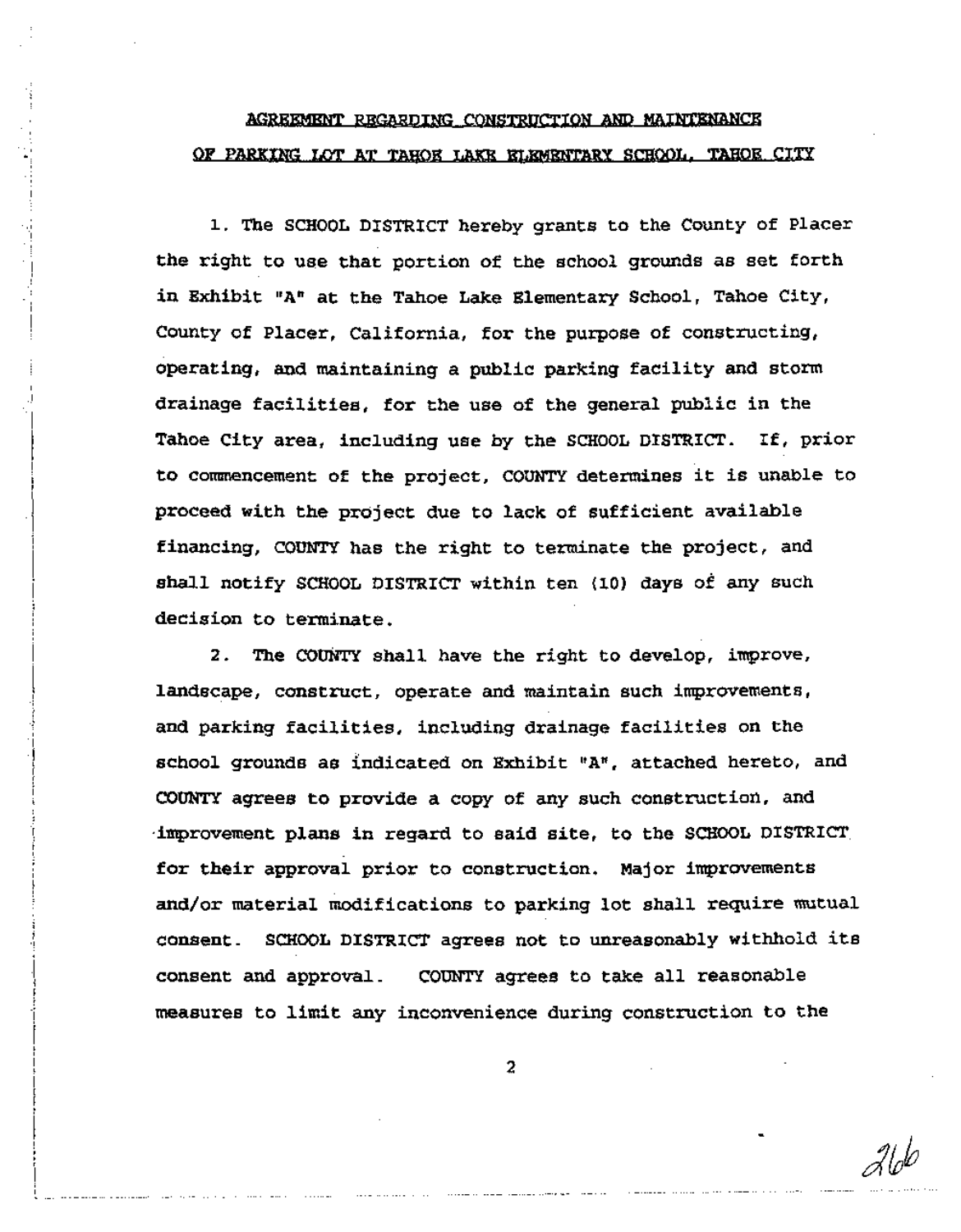## AGREEMENT REGARDING CONSTRUCTION AND MAINTENANCE OF PARKING LOT AT TABOR LAKB BLEMENTARY SCHOOL. TAHOE CITY

1. The SCHOOL DISTRICT hereby grants to the County of Placer the right to use that portion of the school grounds as set forth in Exhibit "A" at the Tahoe Lake Elementary School, Tahoe City, County of Placer, California, for the purpose of constructing, proceed with the project due to lack of sufficient available drainage facilities, for the use of the general public in the Tahoe City area, including use by the SCHOOL DISTRICT. If, prior to commencement of the project, COUNTY determines it is unable to operating, and maintaining a public parking facility and storm financing, COUNTY has the right to terminate the project, and shall notify SCHOOL DISTRICT within ten (10) days of any such decision to terminate.

1 -I -,

> $\mathbf{I}$ i

|<br>|<br>| 'J I

> I I i<br>! i

 $\left| \right|$ i -f j 'J -I '( ;<br>i i<br>! I 'I I I י<br>! : i<br>! i j -I

> \ I I J I I i -, \ |<br>!

> > I

l,, , --..------

and parking facilities, including drainage facilities on the for their approval prior to construction. Major improvements consent. SCHOOL DISTRICT agrees not to unreasonably withhold its consent and approval. COUNTY agrees to take all reasonable 2. The COUNTY shall have the right to develop, improve, COUNTY agrees to provide a copy of any such construction, and measures to limit any inconvenience during construction to the and/or material modifications to parking lot shall require mutual school grounds as indicated on Exhibit "A", attached hereto, and landscape, construct, operate and maintain such improvements, ·improvement plans in regard to said site, to the SCHOOL DISTRICT,

2

---~- ----- ~--~---- --- ------- --------\_.-------- -- - - .--\_..\_.----\_..\_---\_.\_-\_..\_----\_..\_----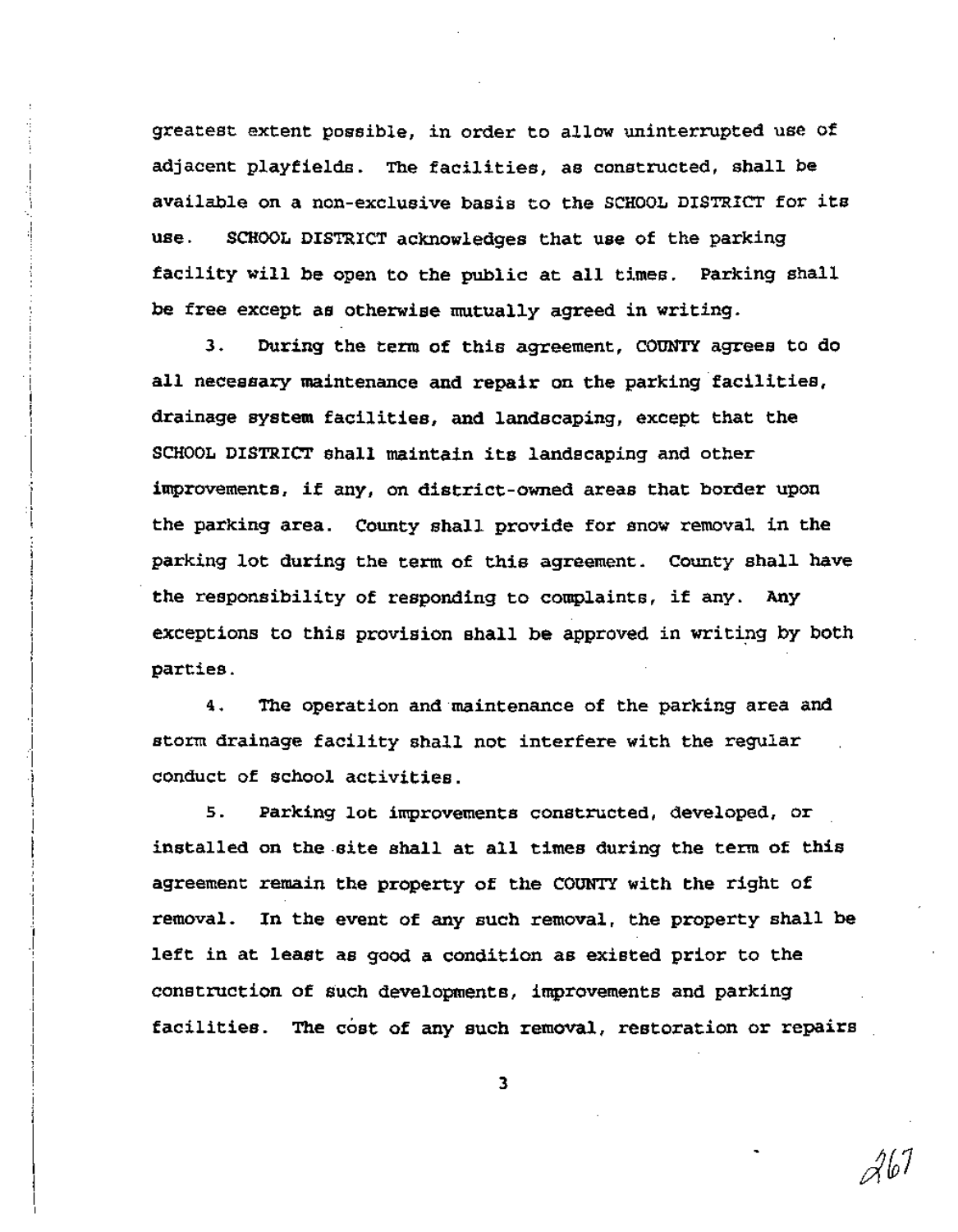greatest extent possible, in order to allow uninterrupted use of adjacent playfields. The facilities, as constructed, shall be available on a non-exclusive basis to the SCHOOL DISTRICT for its use. SCHOOL DISTRICT acknowledges that use of the parking facility will be open to the public at all times. Parking shall be free except as otherwise mutually agreed in writing.

-.\

i -I 'I, !

. i 1, -,, .j ! i I ! i I i<br>!

> I -I :\

> > !<br>!

 $\begin{bmatrix} \phantom{-} \\ \phantom{-} \\ \phantom{-} \end{bmatrix}$ 

.\ I --! -I -1 [<br>!<br>!

> I ! i 1 .<br>j I i<br>I -I I I I I -I

> > |<br>|<br>|

3. During the term of this agreement, COUNTY agrees to do all necessary maintenance and repair on the parking facilities, drainage system facilities, and landscaping, except that the SCHOOL DISTRICT shall maintain its landscaping and other improvements, if any, on district-owned areas that border upon the parking area. County shall provide for snow removal in the parking lot during the term of this agreement. County shall have the responsibility of responding to complaints, if any. Any exceptions to this provision shall be approved in writing by both parties.

4. The operation and maintenance of the parking area and storm drainage facility shall not interfere with the regular conduct of school activities.

s. parking lot improvements constructed, developed, or installed on the-site shall at all times during the term of this agreement remain the property of the COUNTY with the right of removal. In the event of any such removal, the property shall be left in at least as good a condition as existed prior to the construction of such developments, improvements and parking facilities. The cost of any such removal, restoration or repairs

3

26 I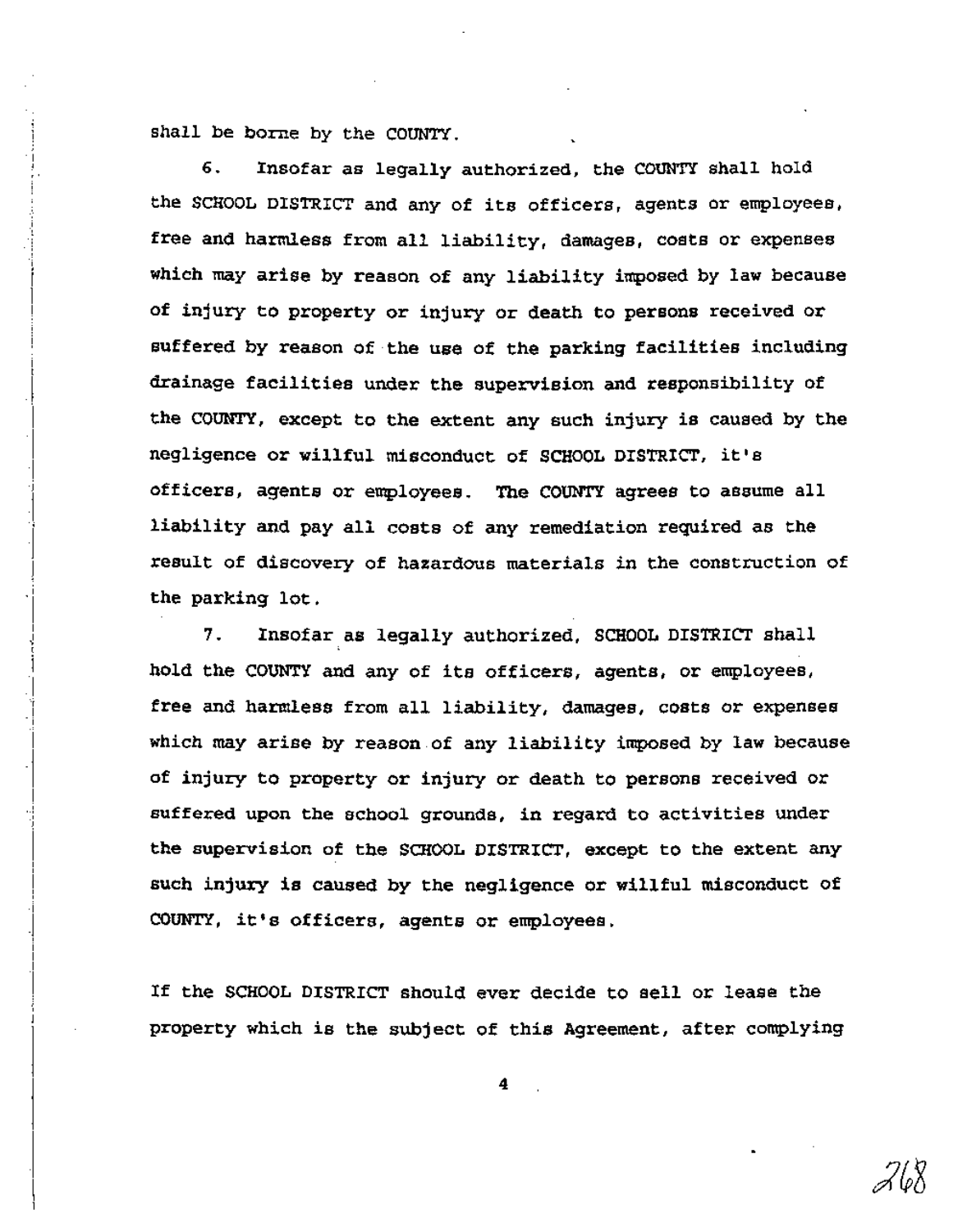shall be borne by the COUNTY.

·1  $\frac{1}{4}$ ! i· i ! i i .<br>:<br>:

> |<br>|<br>| ! ,

I I I .,

'I

'1

 $\cdot$ I l<br>İ

"' I -I

I -j ! "! '1

-j ! "r

> ! j .1

> > I I

6. Insofar as legally authorized, the COUNTY shall hold the SCHOOL DISTRICT and any of its officers, agents or employees, free and harmless from all liability, damages, costs or expenses which may arise by reason of any liability imposed by law because of injury to property or injury or death to persons received or suffered by reason of the use of the parking facilities including drainage facilities under the supervision and responsibility of the COUNTY, except to the extent any such injury is caused by the negligence or willful misconduct of SCHOOL DISTRICT, it's officers, agents or employees. The COUNTY agrees to assume all liability and pay all costs of any remediation required as the result of discovery of hazardous materials in the construction of the parking lot.

7. Insofar as legally authorized, SCHOOL DISTRICT shall hold the COUNTY and any of its officers, agents, or employees, free and harmless from all liability, damages, costs or expenses which may arise by reason.of any liability imposed by law because of injury to property or injury or death to persons received or suffered upon the school grounds, in regard to activities under the supervision of the SCHOOL DISTRICT, except to the extent any such injury is caused by the negligence or willful misconduct of COUNTY, it's officers, agents or employees .

If the SCHOOL DISTRICT should ever decide to sell or lease the property which is the subject of this Agreement, after complying

4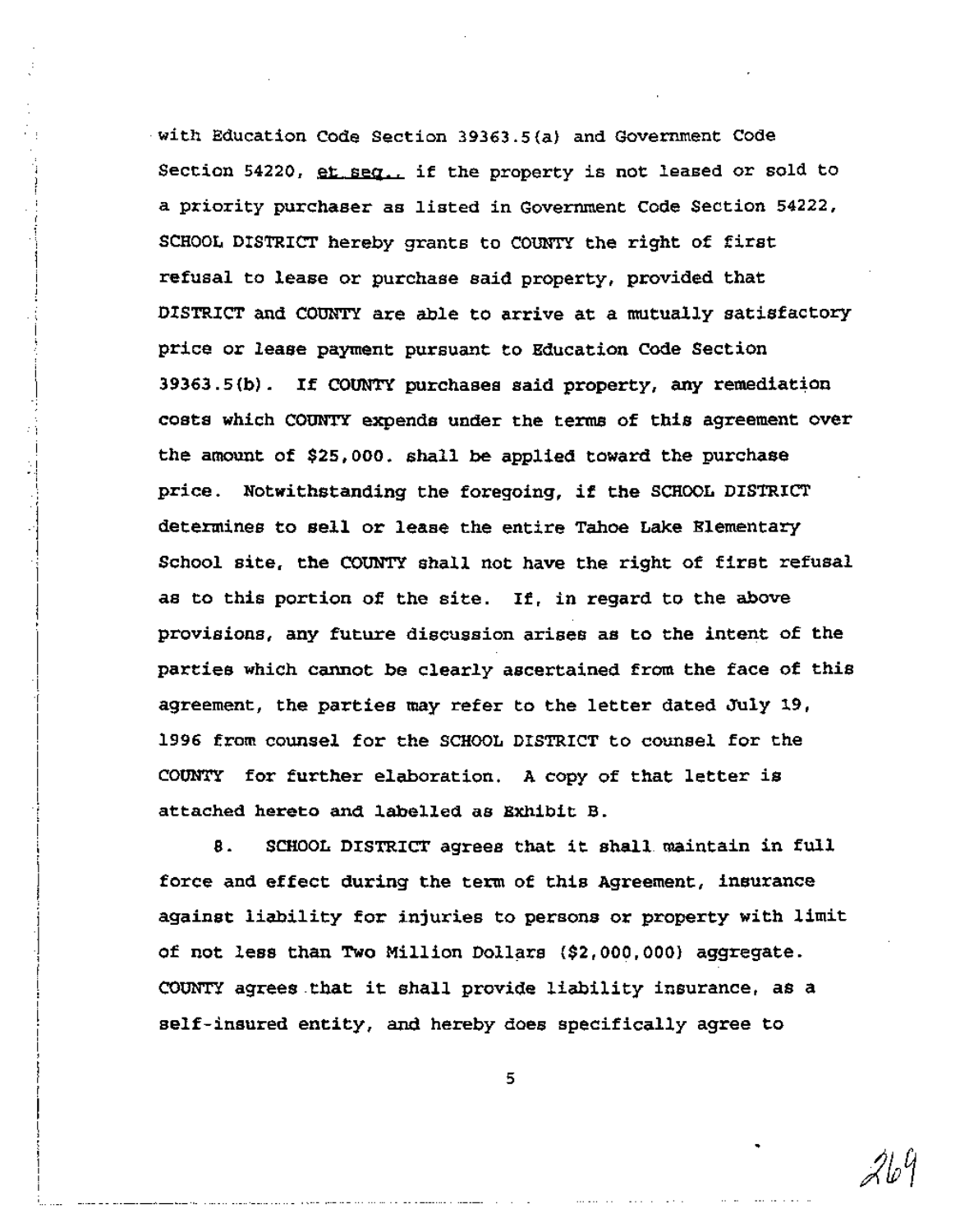. with Education Code Section 39363.5(a} and Government Code Section 54220, et seq., if the property is not leased or sold to a priority purchaser as listed in Government Code Section 54222, SCHOOL DISTRICT hereby grants to COUNTY the right of first refusal to lease or purchase said property, provided that DISTRICT and COUNTY are able to arrive at a mutually satisfactory price or lease payment pursuant to Education Code Section 39363.5(b). If COUNTY purchases said property, any remediation costs which COUNTY expends under the terms of this agreement over the amount of \$25,000. shall be applied toward the purchase price. Notwithstanding the foregoing, if the SCHOOL DISTRICT determines to sell or lease the entire Tahoe Lake Elementary School site, the COUNTY shall not have the right of first refusal as to this portion of the site. If, in regard to the above provisions, any future discussion arises as to the intent of the parties which cannot be clearly ascertained from the face of this agreement, the parties may refer to the letter dated July 19, 1996 from counsel for the SCHOOL DISTRICT to counsel for the COUNTY for further elaboration. A copy of that letter is attached hereto and labelled as Exhibit B.

į<br>!

\

i<br>I<br>I

'.1 oj

> :1 ':1 .1

> > I

I I ·1

i

I·1

l<br>E<br>E<br>E

 $\frac{1}{2}$ 

[ I |<br>|<br>|

l<br>İ I

8. SCHOOL DISTRICT agrees that it shall maintain in full force and effect during the term of this Agreement, insurance against liability for injuries to persons or property with limit of not less than Two Million Dollars (\$2,000,000) aggregate. COUNTY agrees .that it shall provide liability insurance, as <sup>a</sup> self-insured entity, and hereby does specifically agree to

5

21. Y

...\_----- -- --------- --.- - --- ---. - --------..\_---~ -- -- - - ---- - --- - -------- -- - --- - - - --- \_. \_.- -. \_\_ \_--- \_\_.\_ -.-.\_ '-'-'-' -... .-.\_.......•.....'-----\_ \_-- ,-\_ \_-' ".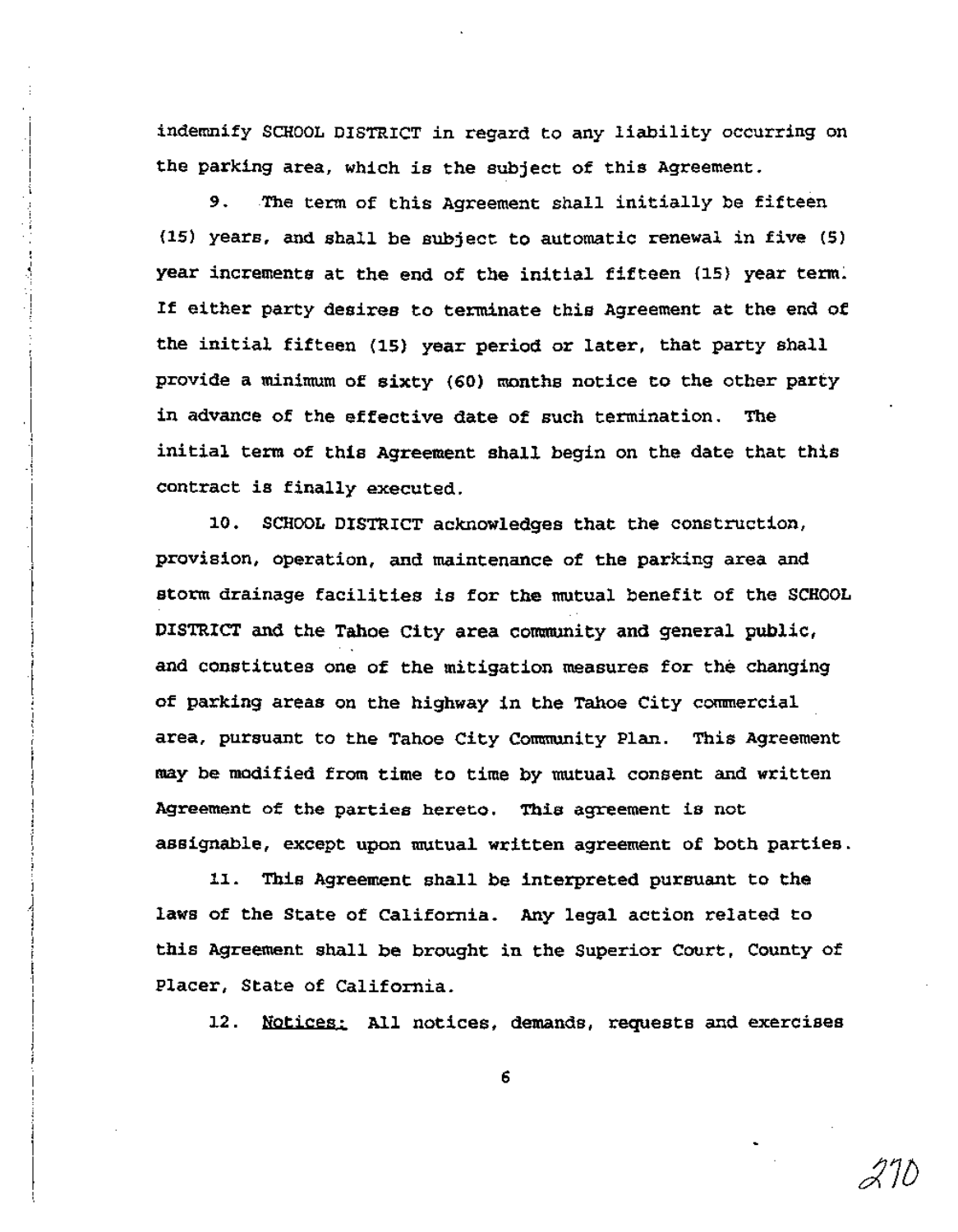indemnify SCHOOL DISTRICT in regard to any liability occurring on the parking area, which is the subject of this Agreement.

i I j I , -) -! :<br>! j

 $\left| \right|$ 

-I, -I

> j<br>i ار<br>ا 1 t j<br>|<br>| \ j I  $\begin{matrix} \vdots \\ \vdots \\ \vdots \end{matrix}$

> > $\frac{1}{1}$

9. The term of this Agreement shall initially be fifteen (15) years, and shall be subject to automatic renewal in five (5) year increments at the end of the initial fifteen (15) year term: If either party desires to terminate this Agreement at the end of the initial fifteen (15) year period or later, that party shall provide a minimum of sixty (60) months notice to the other party in advance of the effective date of such termination. The initial term of this Agreement shall begin on the date that this contract is finally executed.

10. SCHOOL DISTRICT acknowledges that the construction, provision, operation, and maintenance of the parking area and storm drainage facilities is for the mutual benefit of the SCHOOL DISTRICT and the Tahoe City area community and general public, and constitutes one of the mitigation measures for the changing of parking areas on the highway in the Tahoe City commercial area, pursuant to the Tahoe City Community Plan. This Agreement may be modified from time to time by mutual consent and written Agreement of the parties hereto. This agreement is not assignable, except upon mutual written agreement of both parties.

11. This Agreement shall be interpreted pursuant to the laws of the State of California. Any legal action related to this Agreement shall be brought in the Superior Court, County of Placer, State of California.

12. Notices: All notices, demands, requests and exercises

 $\measuredangle$  IU

6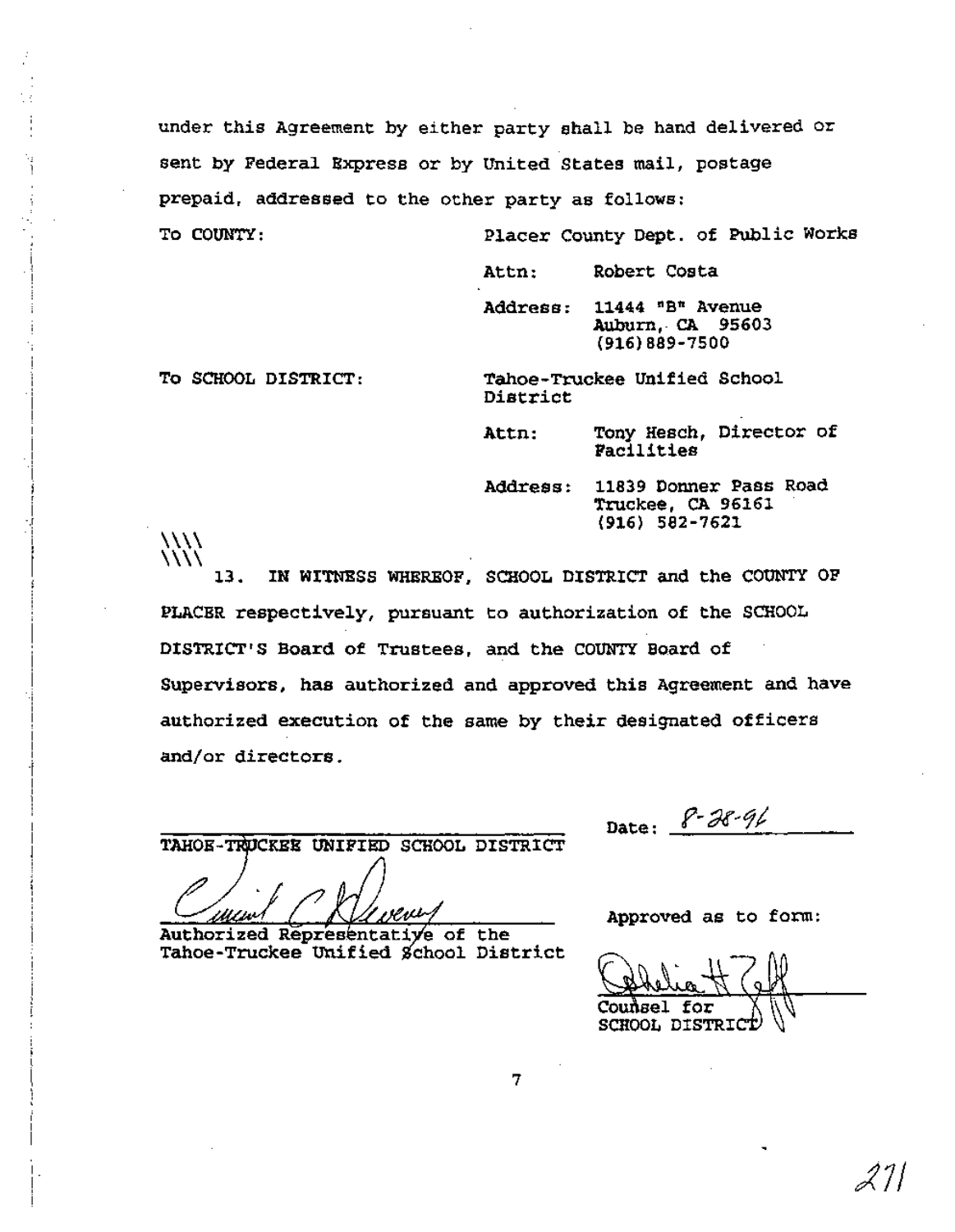under this Agreement by either party shall be hand delivered or sent by Federal Express or by United States mail, postage prepaid, addressed to the other party as follows:

To COUNTY: Placer County Dept. of Public Works

Attn: Robert Costa

Address: 11444 "B" Avenue Auburn, CA 95603 (916)889-7500

 $\langle\!\langle\!\langle \nu\!\rangle\!\rangle$ 

i<br>!

-I-j -I I -.I , I

> I l I

I

! -j -1 I I ! -j I

 $\frac{1}{1}$ 

 $\vdots$ 

|<br>|<br>|

1

To SCHOOL DISTRICT: Tahoe-Truckee Unified School District

> Attn: Tony Hesch, Director of Facilities

Address: 11839 Donner Pass Road Truckee, CA 96161 (916) 582-7621

13. IN WITNESS WHEREOF, SCHOOL DISTRICT and the COUNTY OF  $\langle\!\langle\!\langle\!\langle$ PLACBR respectively, pursuant to authorization of the SCHOOL DISTRICT'S Board of Trustees, and the COUNTY Board of Supervisors, has authorized and approved this Agreement and have authorized execution of the same by their designated officers and/or directors.

TAHOE-TRUCKEE UNIFIED SCHOOL DISTRICT

Authorized Representative of the Tahoe-Truckee Unified School District

Date:  $8 - 38 - 96$ 

Approved as to form:

Couñsel for SCHOOL DISTRIC

7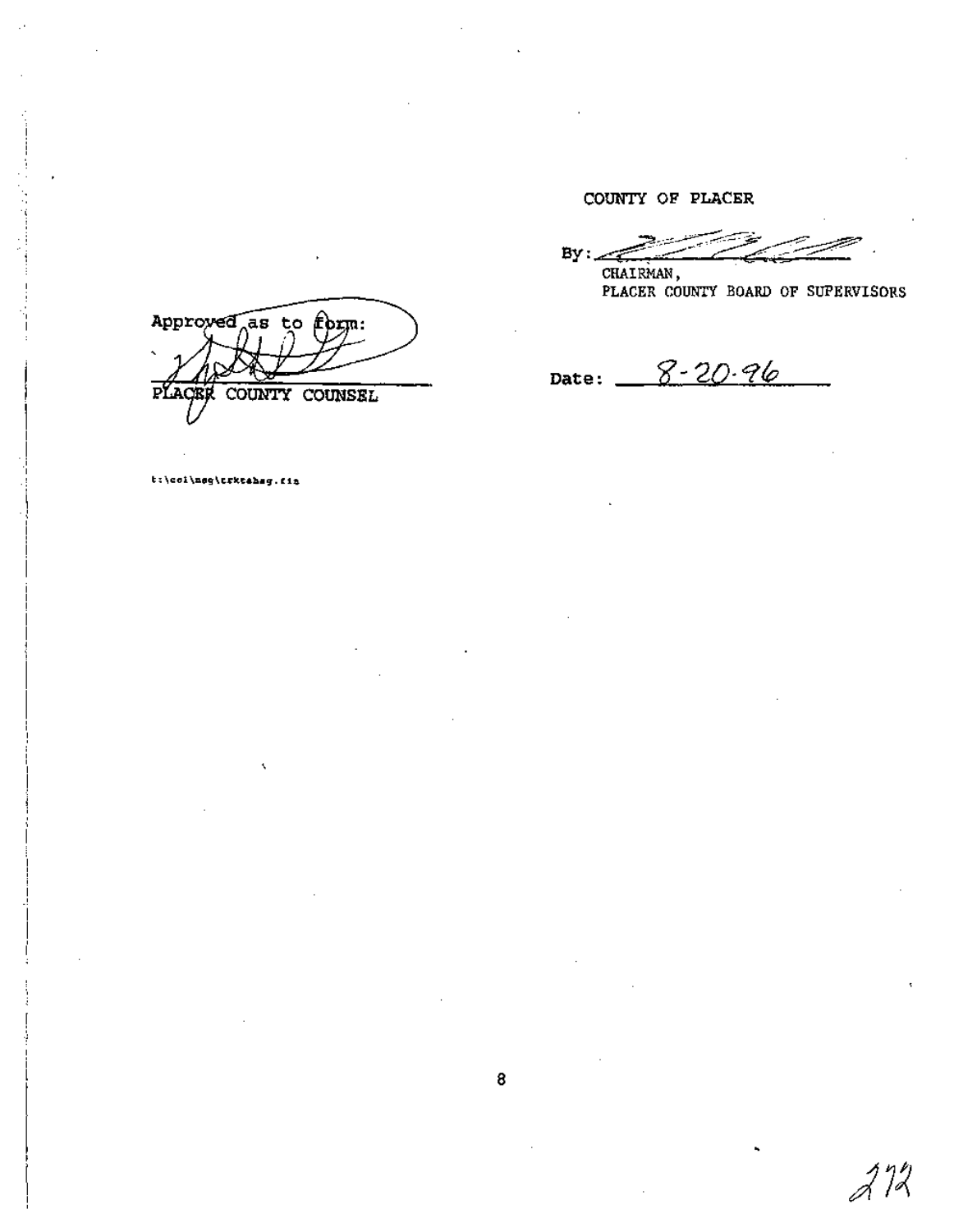COUNTY OF PLACER

 $By: \mathcal{L}$ 

CHAIRMAN, PLACER COUNTY BOARD OF SUPERVISORS

 $272$ 

Date:  $8 - 20.96$ 

Approved as to form: COUNTY COUNSEL PLACE

t:\coi\neg\trktahag.fit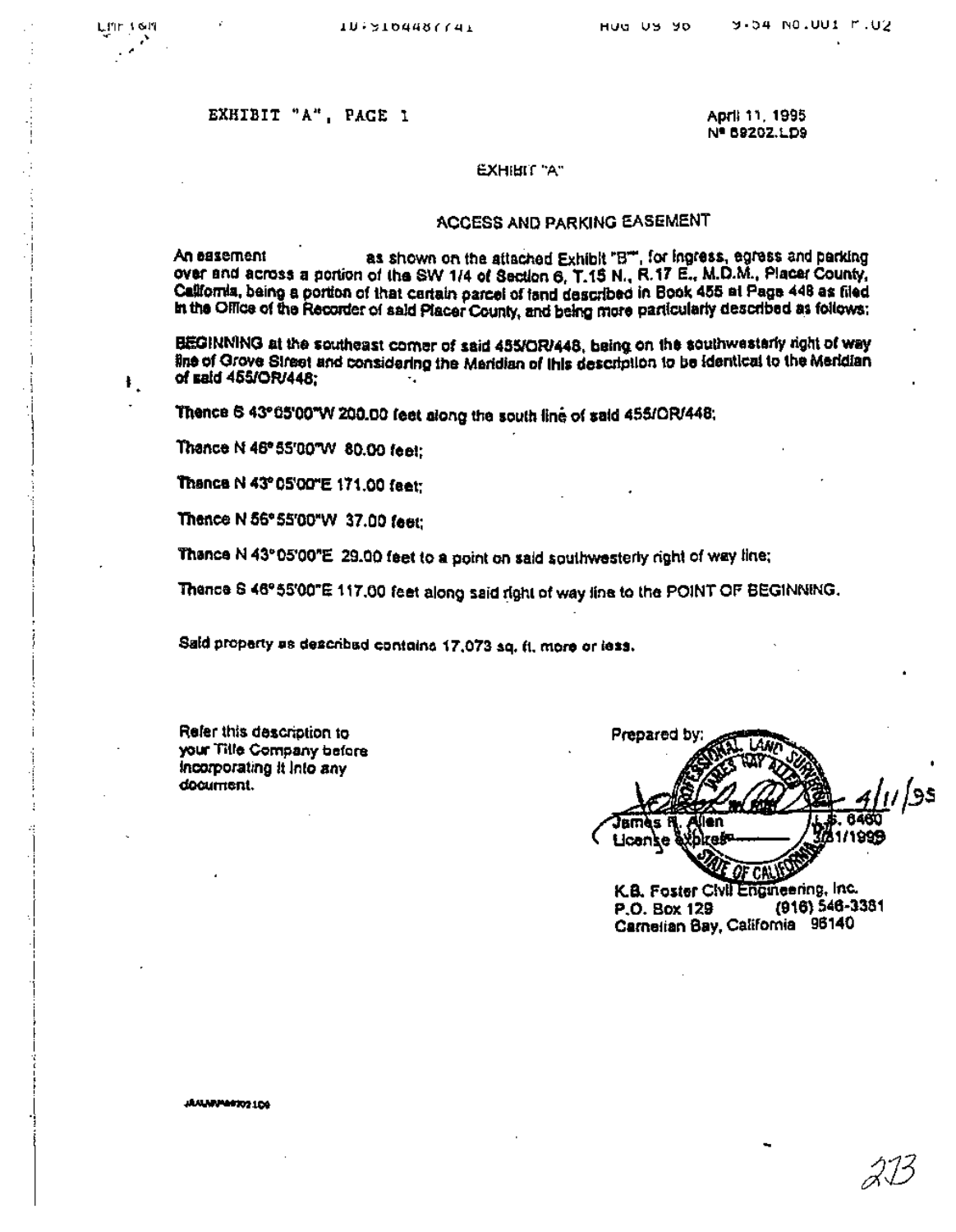#### EXHIBIT "A", PACE 1

LITE 1611

 $\pmb{\ast}$  .

April 11, 1995 Nº 69202.LD9

#### **EXHIBIT "A"**

#### **ACCESS AND PARKING EASEMENT**

as shown on the attached Exhibit "B", for ingress, egress and parking An easement over and across a portion of the SW 1/4 of Section 6, T.15 N., R.17 E., M.D.M., Placer County, California, being a portion of that certain parcel of fand described in Book 455 at Page 448 as filed In the Office of the Recorder of said Placer County, and being more particularly described as follows:

BEGINNING at the southeast comer of said 455/OR/448, being on the southwesterly right of way line of Grove Street and considering the Maridian of this description to be identical to the Meridian of said 455/OR/448:

Thence 6 43° 05'00"W 200.00 feet along the south line of said 455/OR/448;

Thance N 46° 55'00"W 80.00 feet:

Thance N 43° 05'00"E 171.00 feet:

Thence N 56° 55'00"W 37.00 feet:

Thence N 43°05'00"E 29.00 feet to a point on said southwesterly right of way line;

Thance S 46°55'00"E 117.00 feet along said right of way line to the POINT OF BEGINNING.

Sald property as describad contains 17,073 sq. ft. more or less.

Refer this description to your Title Company before Incorporating it into any document.

Prepared by Jano, (len ıs M 1/1999 **License** OF CALL K.B. Foster Civil Engineering, Inc.

(916) 546-3381 P.O. Box 129 Carnelian Bay, California 96140